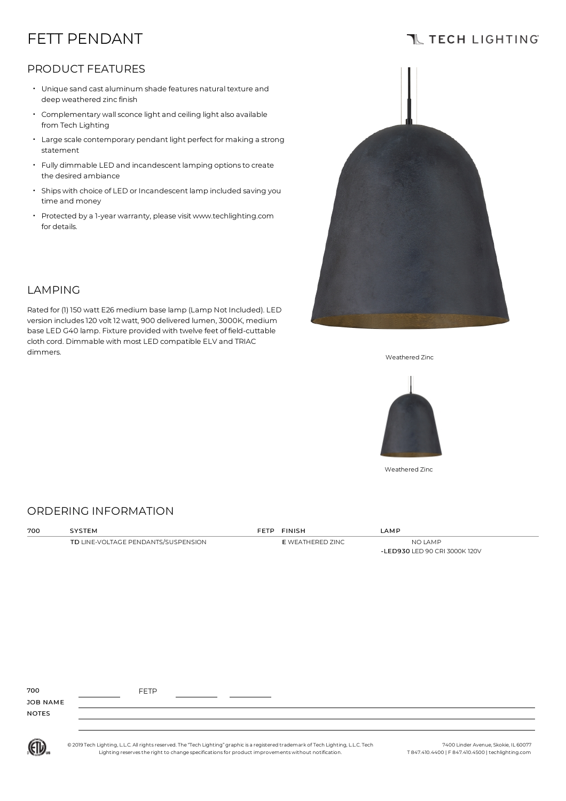# FETT PENDANT

### **TL TECH LIGHTING**

### PRODUCT FEATURES

LAMPING

- Unique sand cast aluminum shade features natural texture and deep weathered zinc finish
- Complementary wallsconce light and ceiling light also available from Tech Lighting
- Large scale contemporary pendant light perfect for making a strong statement
- Fully dimmable LED and incandescent lamping optionsto create the desired ambiance
- Ships with choice of LED or Incandescent lamp included saving you time and money
- Protected by a 1-year warranty, please visit www.techlighting.com for details.

Rated for (1) 150 watt E26 medium base lamp (Lamp Not Included). LED version includes120 volt 12 watt, 900 delivered lumen,3000K, medium base LED G40 lamp. Fixture provided with twelve feet of field-cuttable cloth cord. Dimmable with most LED compatible ELV and TRIAC



dimmers. Weathered Zinc



Weathered Zinc

### ORDERING INFORMATION

| 700 | SYSTEM                              | FETP FINISH      | LAMP                                     |
|-----|-------------------------------------|------------------|------------------------------------------|
|     | TD LINE-VOLTAGE PENDANTS/SUSPENSION | E WEATHERED ZINC | NO LAMP<br>-LED930 LED 90 CRI 3000K 120V |

| 700          | <b>FETP</b> |  |  |
|--------------|-------------|--|--|
| JOB NAME     |             |  |  |
| <b>NOTES</b> |             |  |  |
|              |             |  |  |

© 2019 Tech Lighting, L.L.C. All rightsreserved.The "Tech Lighting" graphicis a registered trademark ofTech Lighting, L.L.C.Tech Lighting reservesthe right to change specificationsfor product improvements without notification.

7400 Linder Avenue, Skokie, IL 60077 T 847.410.4400 | F 847.410.4500 | techlighting.com